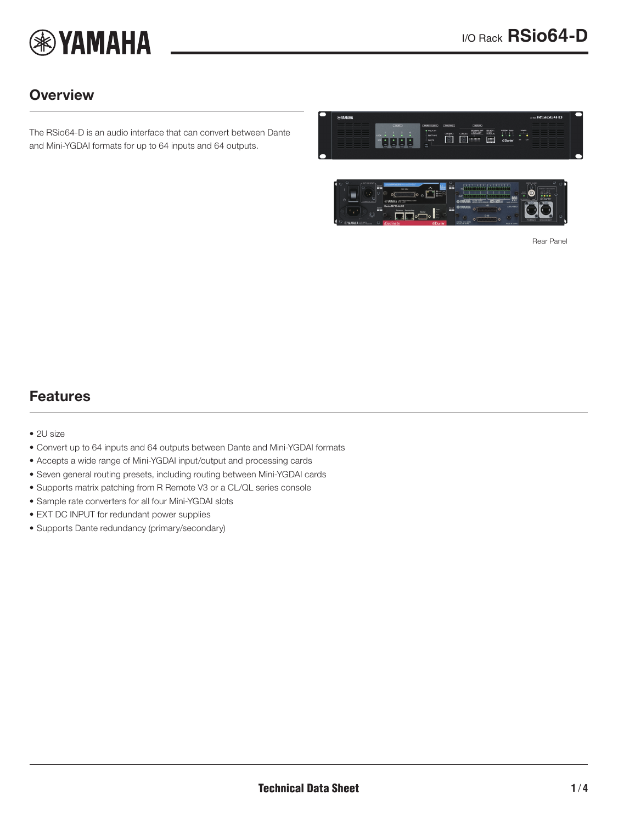

# **Overview**

The RSio64-D is an audio interface that can convert between Dante and Mini-YGDAI formats for up to 64 inputs and 64 outputs.





<span id="page-0-0"></span>Rear Panel

### Features

- 2U size
- Convert up to 64 inputs and 64 outputs between Dante and Mini-YGDAI formats
- Accepts a wide range of Mini-YGDAI input/output and processing cards
- Seven general routing presets, including routing between Mini-YGDAI cards
- Supports matrix patching from R Remote V3 or a CL/QL series console
- Sample rate converters for all four Mini-YGDAI slots
- EXT DC INPUT for redundant power supplies
- Supports Dante redundancy (primary/secondary)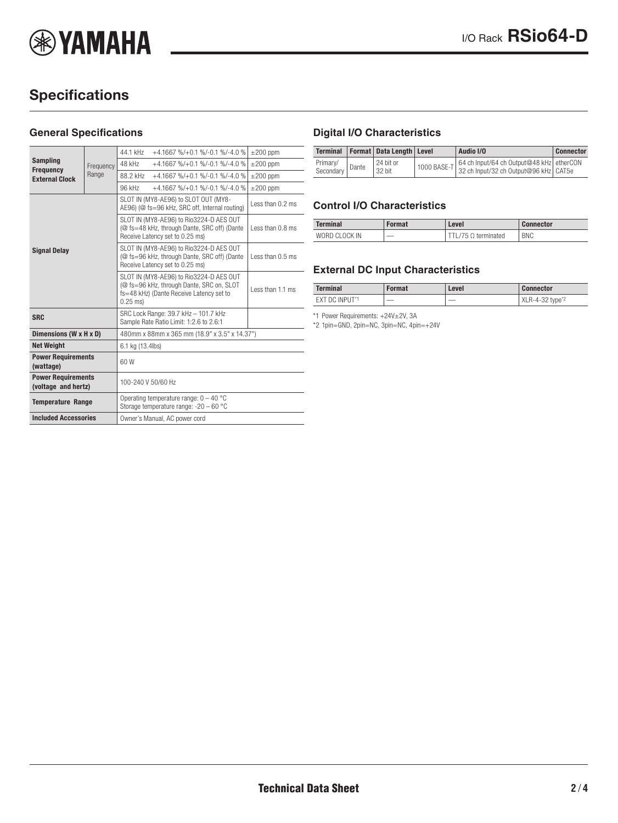

# **Specifications**

#### **General Specifications**

| <b>Sampling</b><br><b>Frequency</b><br><b>External Clock</b> | Frequency<br>Range | 44.1 kHz                                                                                                                                       | $+4.1667$ %/ $+0.1$ %/ $-0.1$ %/ $-4.0$ %                                              | $\pm 200$ ppm    |  |
|--------------------------------------------------------------|--------------------|------------------------------------------------------------------------------------------------------------------------------------------------|----------------------------------------------------------------------------------------|------------------|--|
|                                                              |                    | 48 kHz                                                                                                                                         | $+4.1667$ %/ $+0.1$ %/ $-0.1$ %/ $-4.0$ %                                              | $\pm 200$ ppm    |  |
|                                                              |                    | 88.2 kHz                                                                                                                                       | $+4.1667$ %/ $+0.1$ %/ $-0.1$ %/ $-4.0$ %                                              | $\pm 200$ ppm    |  |
|                                                              |                    | 96 kHz                                                                                                                                         | $+4.1667$ %/ $+0.1$ %/ $-0.1$ %/ $-4.0$ %                                              | $\pm 200$ ppm    |  |
|                                                              |                    |                                                                                                                                                | SLOT IN (MY8-AE96) to SLOT OUT (MY8-<br>AE96) (@ fs=96 kHz, SRC off, Internal routing) | Less than 0.2 ms |  |
| <b>Signal Delay</b>                                          |                    | SLOT IN (MY8-AE96) to Rio3224-D AES OUT<br>(@ fs=48 kHz, through Dante, SRC off) (Dante<br>Less than 0.8 ms<br>Receive Latency set to 0.25 ms) |                                                                                        |                  |  |
|                                                              |                    | SLOT IN (MY8-AE96) to Rio3224-D AES OUT<br>(@ fs=96 kHz, through Dante, SRC off) (Dante<br>Receive Latency set to 0.25 ms)                     | Less than 0.5 ms                                                                       |                  |  |
|                                                              |                    | SLOT IN (MY8-AE96) to Rio3224-D AES OUT<br>(@ fs=96 kHz, through Dante, SRC on, SLOT<br>fs=48 kHz) (Dante Receive Latency set to<br>$0.25$ ms) |                                                                                        | Less than 1.1 ms |  |
| <b>SRC</b>                                                   |                    | SRC Lock Range: 39.7 kHz - 101.7 kHz<br>Sample Rate Ratio Limit: 1:2.6 to 2.6:1                                                                |                                                                                        |                  |  |
| Dimensions (W x H x D)                                       |                    | 480mm x 88mm x 365 mm (18.9" x 3.5" x 14.37")                                                                                                  |                                                                                        |                  |  |
| <b>Net Weight</b>                                            |                    | 6.1 kg (13.4lbs)                                                                                                                               |                                                                                        |                  |  |
| <b>Power Requirements</b><br>(wattage)                       |                    | 60W                                                                                                                                            |                                                                                        |                  |  |
| <b>Power Requirements</b><br>(voltage and hertz)             |                    | 100-240 V 50/60 Hz                                                                                                                             |                                                                                        |                  |  |
| <b>Temperature Range</b>                                     |                    | Operating temperature range: $0 - 40$ °C<br>Storage temperature range: -20 - 60 °C                                                             |                                                                                        |                  |  |
| <b>Included Accessories</b>                                  |                    | Owner's Manual, AC power cord                                                                                                                  |                                                                                        |                  |  |

### **Digital I/O Characteristics**

|                       |       | Terminal   Format   Data Length   Level | Audio I/O                                                                                     | <b>Connector</b> |
|-----------------------|-------|-----------------------------------------|-----------------------------------------------------------------------------------------------|------------------|
| Primary/<br>Secondary | Dante | 24 bit or<br>32 bit                     | 1000 BASE-T 64 ch Input/64 ch Output@48 kHz etherCON<br>32 ch Input/32 ch Output@96 kHz CAT5e |                  |

#### **Control I/O Characteristics**

| Terminal      | Format | .evel      | <b>Connector</b> |
|---------------|--------|------------|------------------|
| WORD CLOCK IN | __     | terminated | <b>BNC</b>       |

### **External DC Input Characteristics**

| <b>Terminal</b> | Format | Level                    | <b>Connector</b>            |
|-----------------|--------|--------------------------|-----------------------------|
| EXT DC INPUT*1  | __     | $\overline{\phantom{a}}$ | XLR-4-32 type <sup>*2</sup> |

\*1 Power Requirements: +24V±2V, 3A

\*2 1pin=GND, 2pin=NC, 3pin=NC, 4pin=+24V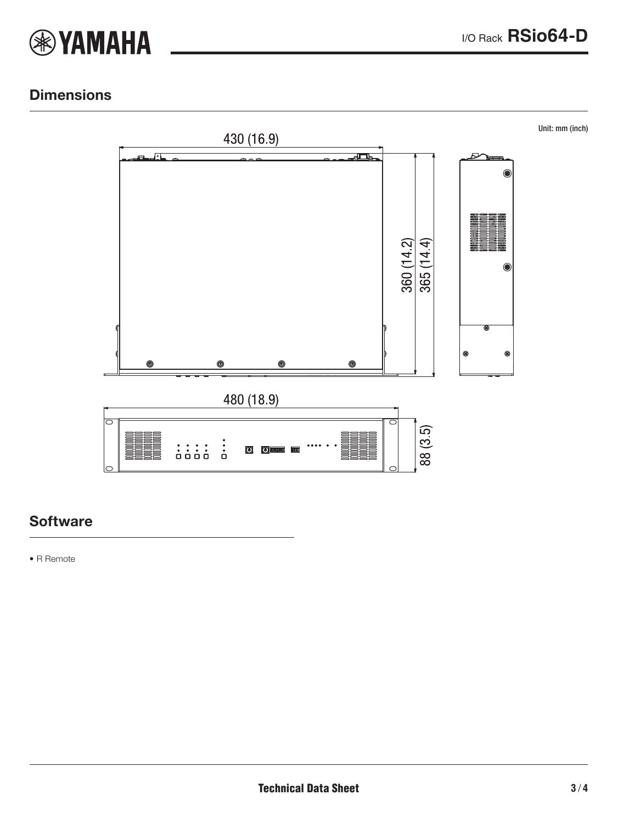

## **Dimensions**



### **Software**

• R Remote